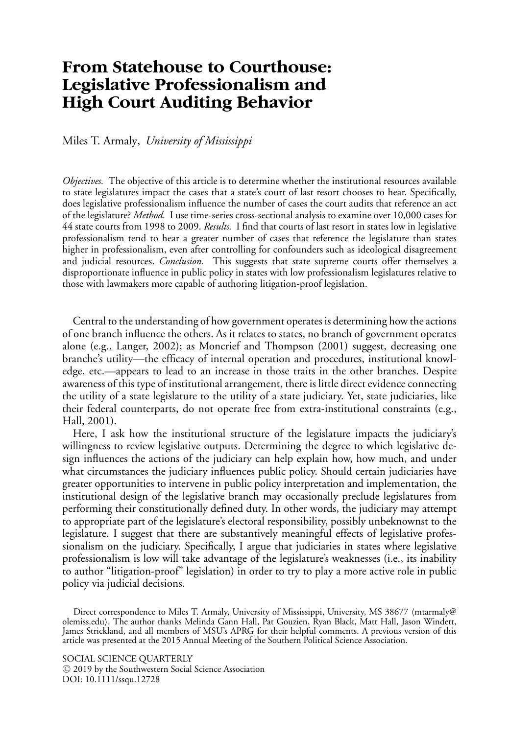# **From Statehouse to Courthouse: Legislative Professionalism and High Court Auditing Behavior**

# Miles T. Armaly, *University of Mississippi*

*Objectives.* The objective of this article is to determine whether the institutional resources available to state legislatures impact the cases that a state's court of last resort chooses to hear. Specifically, does legislative professionalism influence the number of cases the court audits that reference an act of the legislature? *Method.* I use time-series cross-sectional analysis to examine over 10,000 cases for 44 state courts from 1998 to 2009. *Results.* I find that courts of last resort in states low in legislative professionalism tend to hear a greater number of cases that reference the legislature than states higher in professionalism, even after controlling for confounders such as ideological disagreement and judicial resources. *Conclusion.* This suggests that state supreme courts offer themselves a disproportionate influence in public policy in states with low professionalism legislatures relative to those with lawmakers more capable of authoring litigation-proof legislation.

Central to the understanding of how government operates is determining how the actions of one branch influence the others. As it relates to states, no branch of government operates alone (e.g., Langer, 2002); as Moncrief and Thompson (2001) suggest, decreasing one branche's utility—the efficacy of internal operation and procedures, institutional knowledge, etc.—appears to lead to an increase in those traits in the other branches. Despite awareness of this type of institutional arrangement, there is little direct evidence connecting the utility of a state legislature to the utility of a state judiciary. Yet, state judiciaries, like their federal counterparts, do not operate free from extra-institutional constraints (e.g., Hall, 2001).

Here, I ask how the institutional structure of the legislature impacts the judiciary's willingness to review legislative outputs. Determining the degree to which legislative design influences the actions of the judiciary can help explain how, how much, and under what circumstances the judiciary influences public policy. Should certain judiciaries have greater opportunities to intervene in public policy interpretation and implementation, the institutional design of the legislative branch may occasionally preclude legislatures from performing their constitutionally defined duty. In other words, the judiciary may attempt to appropriate part of the legislature's electoral responsibility, possibly unbeknownst to the legislature. I suggest that there are substantively meaningful effects of legislative professionalism on the judiciary. Specifically, I argue that judiciaries in states where legislative professionalism is low will take advantage of the legislature's weaknesses (i.e., its inability to author "litigation-proof" legislation) in order to try to play a more active role in public policy via judicial decisions.

Direct correspondence to Miles T. Armaly, University of Mississippi, University, MS 38677 (mtarmaly@ olemiss.edu). The author thanks Melinda Gann Hall, Pat Gouzien, Ryan Black, Matt Hall, Jason Windett, James Strickland, and all members of MSU's APRG for their helpful comments. A previous version of this article was presented at the 2015 Annual Meeting of the Southern Political Science Association.

SOCIAL SCIENCE QUARTERLY <sup>C</sup> 2019 by the Southwestern Social Science Association DOI: 10.1111/ssqu.12728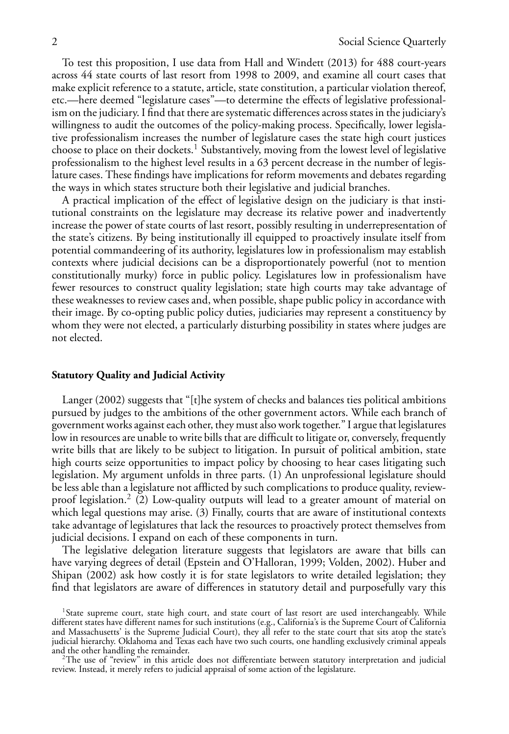To test this proposition, I use data from Hall and Windett (2013) for 488 court-years across 44 state courts of last resort from 1998 to 2009, and examine all court cases that make explicit reference to a statute, article, state constitution, a particular violation thereof, etc.—here deemed "legislature cases"—to determine the effects of legislative professionalism on the judiciary. I find that there are systematic differences across states in the judiciary's willingness to audit the outcomes of the policy-making process. Specifically, lower legislative professionalism increases the number of legislature cases the state high court justices choose to place on their dockets.<sup>1</sup> Substantively, moving from the lowest level of legislative professionalism to the highest level results in a 63 percent decrease in the number of legislature cases. These findings have implications for reform movements and debates regarding the ways in which states structure both their legislative and judicial branches.

A practical implication of the effect of legislative design on the judiciary is that institutional constraints on the legislature may decrease its relative power and inadvertently increase the power of state courts of last resort, possibly resulting in underrepresentation of the state's citizens. By being institutionally ill equipped to proactively insulate itself from potential commandeering of its authority, legislatures low in professionalism may establish contexts where judicial decisions can be a disproportionately powerful (not to mention constitutionally murky) force in public policy. Legislatures low in professionalism have fewer resources to construct quality legislation; state high courts may take advantage of these weaknesses to review cases and, when possible, shape public policy in accordance with their image. By co-opting public policy duties, judiciaries may represent a constituency by whom they were not elected, a particularly disturbing possibility in states where judges are not elected.

## **Statutory Quality and Judicial Activity**

Langer (2002) suggests that "[t]he system of checks and balances ties political ambitions pursued by judges to the ambitions of the other government actors. While each branch of government works against each other, they must also work together." I argue that legislatures low in resources are unable to write bills that are difficult to litigate or, conversely, frequently write bills that are likely to be subject to litigation. In pursuit of political ambition, state high courts seize opportunities to impact policy by choosing to hear cases litigating such legislation. My argument unfolds in three parts. (1) An unprofessional legislature should be less able than a legislature not afflicted by such complications to produce quality, reviewproof legislation.<sup>2</sup> (2) Low-quality outputs will lead to a greater amount of material on which legal questions may arise. (3) Finally, courts that are aware of institutional contexts take advantage of legislatures that lack the resources to proactively protect themselves from judicial decisions. I expand on each of these components in turn.

The legislative delegation literature suggests that legislators are aware that bills can have varying degrees of detail (Epstein and O'Halloran, 1999; Volden, 2002). Huber and Shipan (2002) ask how costly it is for state legislators to write detailed legislation; they find that legislators are aware of differences in statutory detail and purposefully vary this

<sup>&</sup>lt;sup>1</sup>State supreme court, state high court, and state court of last resort are used interchangeably. While different states have different names for such institutions (e.g., California's is the Supreme Court of California and Massachusetts' is the Supreme Judicial Court), they all refer to the state court that sits atop the state's judicial hierarchy. Oklahoma and Texas each have two such courts, one handling exclusively criminal appeals and the other handling the remainder.

 ${}^{2}$ The use of "review" in this article does not differentiate between statutory interpretation and judicial review. Instead, it merely refers to judicial appraisal of some action of the legislature.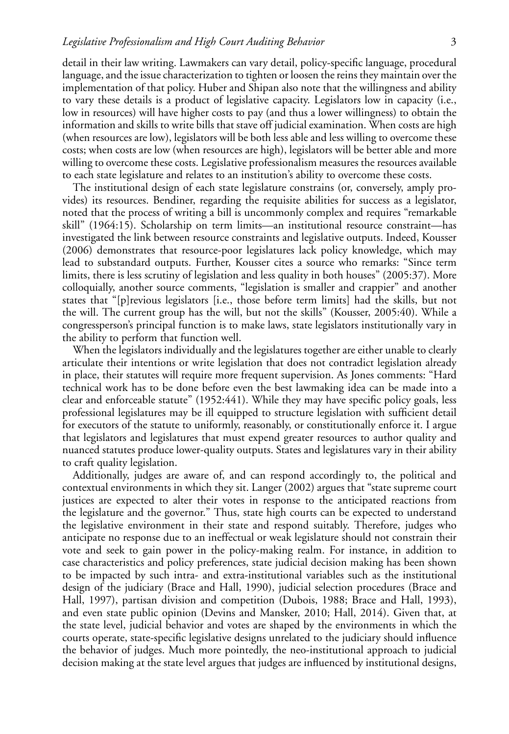detail in their law writing. Lawmakers can vary detail, policy-specific language, procedural language, and the issue characterization to tighten or loosen the reins they maintain over the implementation of that policy. Huber and Shipan also note that the willingness and ability to vary these details is a product of legislative capacity. Legislators low in capacity (i.e., low in resources) will have higher costs to pay (and thus a lower willingness) to obtain the information and skills to write bills that stave off judicial examination. When costs are high (when resources are low), legislators will be both less able and less willing to overcome these costs; when costs are low (when resources are high), legislators will be better able and more willing to overcome these costs. Legislative professionalism measures the resources available to each state legislature and relates to an institution's ability to overcome these costs.

The institutional design of each state legislature constrains (or, conversely, amply provides) its resources. Bendiner, regarding the requisite abilities for success as a legislator, noted that the process of writing a bill is uncommonly complex and requires "remarkable skill" (1964:15). Scholarship on term limits—an institutional resource constraint—has investigated the link between resource constraints and legislative outputs. Indeed, Kousser (2006) demonstrates that resource-poor legislatures lack policy knowledge, which may lead to substandard outputs. Further, Kousser cites a source who remarks: "Since term limits, there is less scrutiny of legislation and less quality in both houses" (2005:37). More colloquially, another source comments, "legislation is smaller and crappier" and another states that "[p]revious legislators [i.e., those before term limits] had the skills, but not the will. The current group has the will, but not the skills" (Kousser, 2005:40). While a congressperson's principal function is to make laws, state legislators institutionally vary in the ability to perform that function well.

When the legislators individually and the legislatures together are either unable to clearly articulate their intentions or write legislation that does not contradict legislation already in place, their statutes will require more frequent supervision. As Jones comments: "Hard technical work has to be done before even the best lawmaking idea can be made into a clear and enforceable statute" (1952:441). While they may have specific policy goals, less professional legislatures may be ill equipped to structure legislation with sufficient detail for executors of the statute to uniformly, reasonably, or constitutionally enforce it. I argue that legislators and legislatures that must expend greater resources to author quality and nuanced statutes produce lower-quality outputs. States and legislatures vary in their ability to craft quality legislation.

Additionally, judges are aware of, and can respond accordingly to, the political and contextual environments in which they sit. Langer (2002) argues that "state supreme court justices are expected to alter their votes in response to the anticipated reactions from the legislature and the governor." Thus, state high courts can be expected to understand the legislative environment in their state and respond suitably. Therefore, judges who anticipate no response due to an ineffectual or weak legislature should not constrain their vote and seek to gain power in the policy-making realm. For instance, in addition to case characteristics and policy preferences, state judicial decision making has been shown to be impacted by such intra- and extra-institutional variables such as the institutional design of the judiciary (Brace and Hall, 1990), judicial selection procedures (Brace and Hall, 1997), partisan division and competition (Dubois, 1988; Brace and Hall, 1993), and even state public opinion (Devins and Mansker, 2010; Hall, 2014). Given that, at the state level, judicial behavior and votes are shaped by the environments in which the courts operate, state-specific legislative designs unrelated to the judiciary should influence the behavior of judges. Much more pointedly, the neo-institutional approach to judicial decision making at the state level argues that judges are influenced by institutional designs,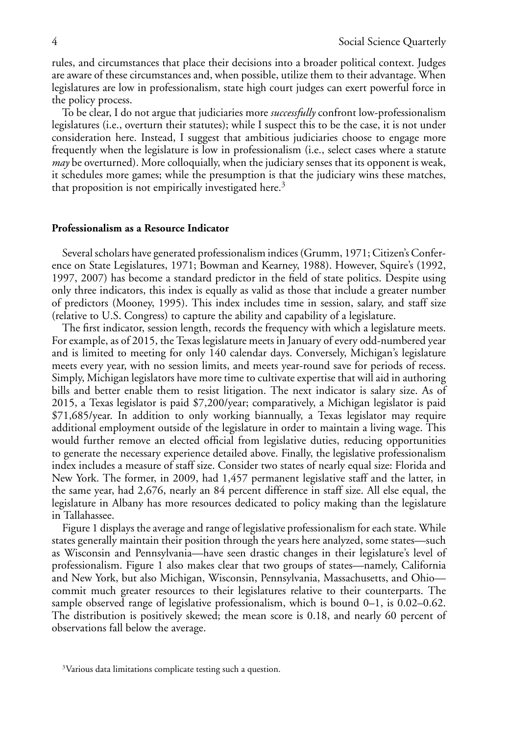rules, and circumstances that place their decisions into a broader political context. Judges are aware of these circumstances and, when possible, utilize them to their advantage. When legislatures are low in professionalism, state high court judges can exert powerful force in the policy process.

To be clear, I do not argue that judiciaries more *successfully* confront low-professionalism legislatures (i.e., overturn their statutes); while I suspect this to be the case, it is not under consideration here. Instead, I suggest that ambitious judiciaries choose to engage more frequently when the legislature is low in professionalism (i.e., select cases where a statute *may* be overturned). More colloquially, when the judiciary senses that its opponent is weak, it schedules more games; while the presumption is that the judiciary wins these matches, that proposition is not empirically investigated here. $3$ 

## **Professionalism as a Resource Indicator**

Several scholars have generated professionalism indices (Grumm, 1971; Citizen's Conference on State Legislatures, 1971; Bowman and Kearney, 1988). However, Squire's (1992, 1997, 2007) has become a standard predictor in the field of state politics. Despite using only three indicators, this index is equally as valid as those that include a greater number of predictors (Mooney, 1995). This index includes time in session, salary, and staff size (relative to U.S. Congress) to capture the ability and capability of a legislature.

The first indicator, session length, records the frequency with which a legislature meets. For example, as of 2015, the Texas legislature meets in January of every odd-numbered year and is limited to meeting for only 140 calendar days. Conversely, Michigan's legislature meets every year, with no session limits, and meets year-round save for periods of recess. Simply, Michigan legislators have more time to cultivate expertise that will aid in authoring bills and better enable them to resist litigation. The next indicator is salary size. As of 2015, a Texas legislator is paid \$7,200/year; comparatively, a Michigan legislator is paid \$71,685/year. In addition to only working biannually, a Texas legislator may require additional employment outside of the legislature in order to maintain a living wage. This would further remove an elected official from legislative duties, reducing opportunities to generate the necessary experience detailed above. Finally, the legislative professionalism index includes a measure of staff size. Consider two states of nearly equal size: Florida and New York. The former, in 2009, had 1,457 permanent legislative staff and the latter, in the same year, had 2,676, nearly an 84 percent difference in staff size. All else equal, the legislature in Albany has more resources dedicated to policy making than the legislature in Tallahassee.

Figure 1 displays the average and range of legislative professionalism for each state. While states generally maintain their position through the years here analyzed, some states—such as Wisconsin and Pennsylvania—have seen drastic changes in their legislature's level of professionalism. Figure 1 also makes clear that two groups of states—namely, California and New York, but also Michigan, Wisconsin, Pennsylvania, Massachusetts, and Ohio commit much greater resources to their legislatures relative to their counterparts. The sample observed range of legislative professionalism, which is bound 0–1, is 0.02–0.62. The distribution is positively skewed; the mean score is 0.18, and nearly 60 percent of observations fall below the average.

<sup>&</sup>lt;sup>3</sup>Various data limitations complicate testing such a question.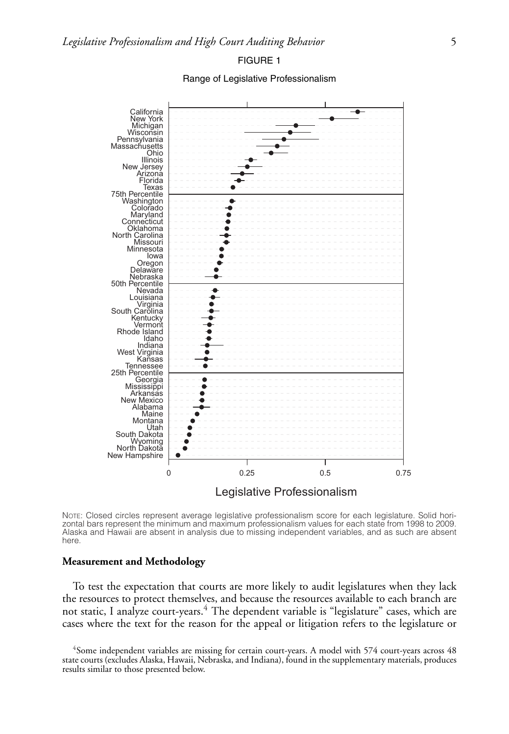## FIGURE 1

Range of Legislative Professionalism



NOTE: Closed circles represent average legislative professionalism score for each legislature. Solid horizontal bars represent the minimum and maximum professionalism values for each state from 1998 to 2009. Alaska and Hawaii are absent in analysis due to missing independent variables, and as such are absent here.

## **Measurement and Methodology**

To test the expectation that courts are more likely to audit legislatures when they lack the resources to protect themselves, and because the resources available to each branch are not static, I analyze court-years.<sup>4</sup> The dependent variable is "legislature" cases, which are cases where the text for the reason for the appeal or litigation refers to the legislature or

<sup>4</sup>Some independent variables are missing for certain court-years. A model with 574 court-years across 48 state courts (excludes Alaska, Hawaii, Nebraska, and Indiana), found in the supplementary materials, produces results similar to those presented below.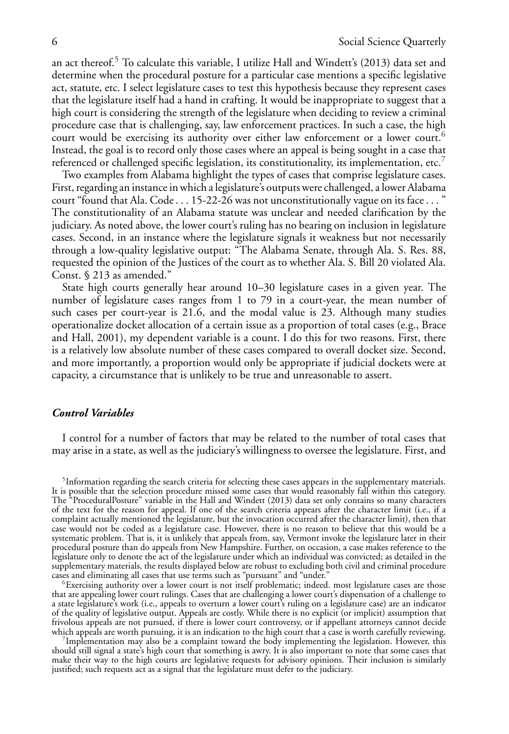an act thereof.<sup>5</sup> To calculate this variable, I utilize Hall and Windett's (2013) data set and determine when the procedural posture for a particular case mentions a specific legislative act, statute, etc. I select legislature cases to test this hypothesis because they represent cases that the legislature itself had a hand in crafting. It would be inappropriate to suggest that a high court is considering the strength of the legislature when deciding to review a criminal procedure case that is challenging, say, law enforcement practices. In such a case, the high court would be exercising its authority over either law enforcement or a lower court.<sup>6</sup> Instead, the goal is to record only those cases where an appeal is being sought in a case that referenced or challenged specific legislation, its constitutionality, its implementation, etc.<sup>7</sup>

Two examples from Alabama highlight the types of cases that comprise legislature cases. First, regarding an instance in which a legislature's outputs were challenged, a lower Alabama court "found that Ala. Code . . . 15-22-26 was not unconstitutionally vague on its face . . . " The constitutionality of an Alabama statute was unclear and needed clarification by the judiciary. As noted above, the lower court's ruling has no bearing on inclusion in legislature cases. Second, in an instance where the legislature signals it weakness but not necessarily through a low-quality legislative output: "The Alabama Senate, through Ala. S. Res. 88, requested the opinion of the Justices of the court as to whether Ala. S. Bill 20 violated Ala. Const. § 213 as amended."

State high courts generally hear around 10–30 legislature cases in a given year. The number of legislature cases ranges from 1 to 79 in a court-year, the mean number of such cases per court-year is 21.6, and the modal value is 23. Although many studies operationalize docket allocation of a certain issue as a proportion of total cases (e.g., Brace and Hall, 2001), my dependent variable is a count. I do this for two reasons. First, there is a relatively low absolute number of these cases compared to overall docket size. Second, and more importantly, a proportion would only be appropriate if judicial dockets were at capacity, a circumstance that is unlikely to be true and unreasonable to assert.

# *Control Variables*

I control for a number of factors that may be related to the number of total cases that may arise in a state, as well as the judiciary's willingness to oversee the legislature. First, and

<sup>5</sup>Information regarding the search criteria for selecting these cases appears in the supplementary materials. It is possible that the selection procedure missed some cases that would reasonably fall within this category. The "ProceduralPosture" variable in the Hall and Windett (2013) data set only contains so many characters of the text for the reason for appeal. If one of the search criteria appears after the character limit (i.e., if a complaint actually mentioned the legislature, but the invocation occurred after the character limit), then that case would not be coded as a legislature case. However, there is no reason to believe that this would be a systematic problem. That is, it is unlikely that appeals from, say, Vermont invoke the legislature later in their procedural posture than do appeals from New Hampshire. Further, on occasion, a case makes reference to the legislature only to denote the act of the legislature under which an individual was convicted; as detailed in the supplementary materials, the results displayed below are robust to excluding both civil and criminal procedure

cases and eliminating all cases that use terms such as "pursuant" and "under."<br><sup>6</sup>Exercising authority over a lower court is not itself problematic; indeed. most legislature cases are those that are appealing lower court rulings. Cases that are challenging a lower court's dispensation of a challenge to a state legislature's work (i.e., appeals to overturn a lower court's ruling on a legislature case) are an indicator of the quality of legislative output. Appeals are costly. While there is no explicit (or implicit) assumption that frivolous appeals are not pursued, if there is lower court controversy, or if appellant attorneys cannot decide

which appeals are worth pursuing, it is an indication to the high court that a case is worth carefully reviewing.<br><sup>7</sup>Implementation may also be a complaint toward the body implementing the legislation. However, this should still signal a state's high court that something is awry. It is also important to note that some cases that make their way to the high courts are legislative requests for advisory opinions. Their inclusion is similarly justified; such requests act as a signal that the legislature must defer to the judiciary.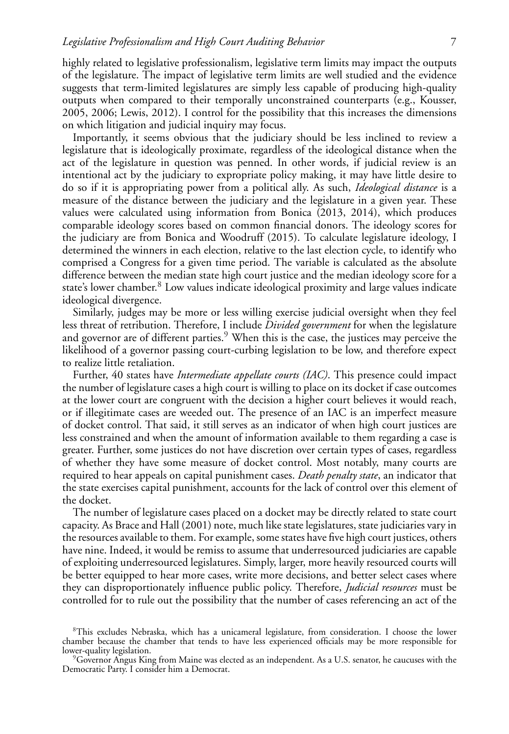highly related to legislative professionalism, legislative term limits may impact the outputs of the legislature. The impact of legislative term limits are well studied and the evidence suggests that term-limited legislatures are simply less capable of producing high-quality outputs when compared to their temporally unconstrained counterparts (e.g., Kousser, 2005, 2006; Lewis, 2012). I control for the possibility that this increases the dimensions on which litigation and judicial inquiry may focus.

Importantly, it seems obvious that the judiciary should be less inclined to review a legislature that is ideologically proximate, regardless of the ideological distance when the act of the legislature in question was penned. In other words, if judicial review is an intentional act by the judiciary to expropriate policy making, it may have little desire to do so if it is appropriating power from a political ally. As such, *Ideological distance* is a measure of the distance between the judiciary and the legislature in a given year. These values were calculated using information from Bonica (2013, 2014), which produces comparable ideology scores based on common financial donors. The ideology scores for the judiciary are from Bonica and Woodruff (2015). To calculate legislature ideology, I determined the winners in each election, relative to the last election cycle, to identify who comprised a Congress for a given time period. The variable is calculated as the absolute difference between the median state high court justice and the median ideology score for a state's lower chamber.<sup>8</sup> Low values indicate ideological proximity and large values indicate ideological divergence.

Similarly, judges may be more or less willing exercise judicial oversight when they feel less threat of retribution. Therefore, I include *Divided government* for when the legislature and governor are of different parties.<sup>9</sup> When this is the case, the justices may perceive the likelihood of a governor passing court-curbing legislation to be low, and therefore expect to realize little retaliation.

Further, 40 states have *Intermediate appellate courts (IAC)*. This presence could impact the number of legislature cases a high court is willing to place on its docket if case outcomes at the lower court are congruent with the decision a higher court believes it would reach, or if illegitimate cases are weeded out. The presence of an IAC is an imperfect measure of docket control. That said, it still serves as an indicator of when high court justices are less constrained and when the amount of information available to them regarding a case is greater. Further, some justices do not have discretion over certain types of cases, regardless of whether they have some measure of docket control. Most notably, many courts are required to hear appeals on capital punishment cases. *Death penalty state*, an indicator that the state exercises capital punishment, accounts for the lack of control over this element of the docket.

The number of legislature cases placed on a docket may be directly related to state court capacity. As Brace and Hall (2001) note, much like state legislatures, state judiciaries vary in the resources available to them. For example, some states have five high court justices, others have nine. Indeed, it would be remiss to assume that underresourced judiciaries are capable of exploiting underresourced legislatures. Simply, larger, more heavily resourced courts will be better equipped to hear more cases, write more decisions, and better select cases where they can disproportionately influence public policy. Therefore, *Judicial resources* must be controlled for to rule out the possibility that the number of cases referencing an act of the

<sup>8</sup>This excludes Nebraska, which has a unicameral legislature, from consideration. I choose the lower chamber because the chamber that tends to have less experienced officials may be more responsible for

 $\rm{^{9}Gover}$  Covernor Angus King from Maine was elected as an independent. As a U.S. senator, he caucuses with the Democratic Party. I consider him a Democrat.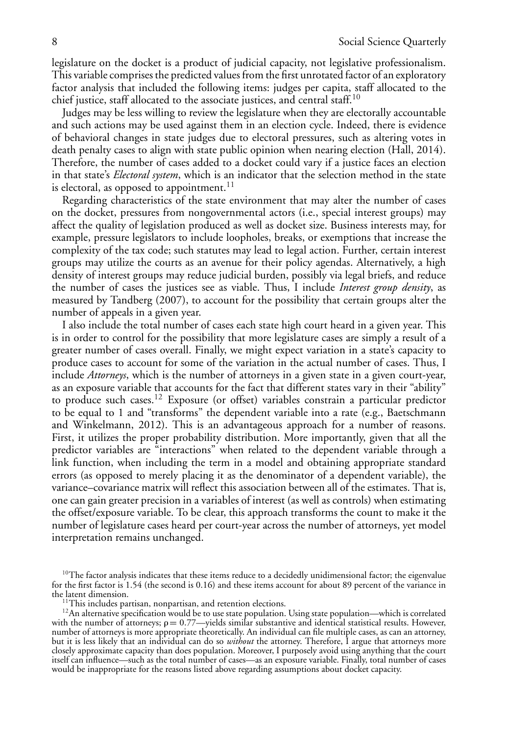legislature on the docket is a product of judicial capacity, not legislative professionalism. This variable comprises the predicted values from the first unrotated factor of an exploratory factor analysis that included the following items: judges per capita, staff allocated to the chief justice, staff allocated to the associate justices, and central staff.<sup>10</sup>

Judges may be less willing to review the legislature when they are electorally accountable and such actions may be used against them in an election cycle. Indeed, there is evidence of behavioral changes in state judges due to electoral pressures, such as altering votes in death penalty cases to align with state public opinion when nearing election (Hall, 2014). Therefore, the number of cases added to a docket could vary if a justice faces an election in that state's *Electoral system*, which is an indicator that the selection method in the state is electoral, as opposed to appointment.<sup>11</sup>

Regarding characteristics of the state environment that may alter the number of cases on the docket, pressures from nongovernmental actors (i.e., special interest groups) may affect the quality of legislation produced as well as docket size. Business interests may, for example, pressure legislators to include loopholes, breaks, or exemptions that increase the complexity of the tax code; such statutes may lead to legal action. Further, certain interest groups may utilize the courts as an avenue for their policy agendas. Alternatively, a high density of interest groups may reduce judicial burden, possibly via legal briefs, and reduce the number of cases the justices see as viable. Thus, I include *Interest group density*, as measured by Tandberg (2007), to account for the possibility that certain groups alter the number of appeals in a given year.

I also include the total number of cases each state high court heard in a given year. This is in order to control for the possibility that more legislature cases are simply a result of a greater number of cases overall. Finally, we might expect variation in a state's capacity to produce cases to account for some of the variation in the actual number of cases. Thus, I include *Attorneys*, which is the number of attorneys in a given state in a given court-year, as an exposure variable that accounts for the fact that different states vary in their "ability" to produce such cases.12 Exposure (or offset) variables constrain a particular predictor to be equal to 1 and "transforms" the dependent variable into a rate (e.g., Baetschmann and Winkelmann, 2012). This is an advantageous approach for a number of reasons. First, it utilizes the proper probability distribution. More importantly, given that all the predictor variables are "interactions" when related to the dependent variable through a link function, when including the term in a model and obtaining appropriate standard errors (as opposed to merely placing it as the denominator of a dependent variable), the variance–covariance matrix will reflect this association between all of the estimates. That is, one can gain greater precision in a variables of interest (as well as controls) when estimating the offset/exposure variable. To be clear, this approach transforms the count to make it the number of legislature cases heard per court-year across the number of attorneys, yet model interpretation remains unchanged.

 $10$ The factor analysis indicates that these items reduce to a decidedly unidimensional factor; the eigenvalue for the first factor is 1.54 (the second is 0.16) and these items account for about 89 percent of the variance in

<sup>&</sup>lt;sup>11</sup>This includes partisan, nonpartisan, and retention elections.<br><sup>12</sup>An alternative specification would be to use state population. Using state population—which is correlated with the number of attorneys;  $\rho = 0.77$ —yields similar substantive and identical statistical results. However, number of attorneys is more appropriate theoretically. An individual can file multiple cases, as can an attorney, but it is less likely that an individual can do so *without* the attorney. Therefore, I argue that attorneys more closely approximate capacity than does population. Moreover, I purposely avoid using anything that the court itself can influence—such as the total number of cases—as an exposure variable. Finally, total number of cases would be inappropriate for the reasons listed above regarding assumptions about docket capacity.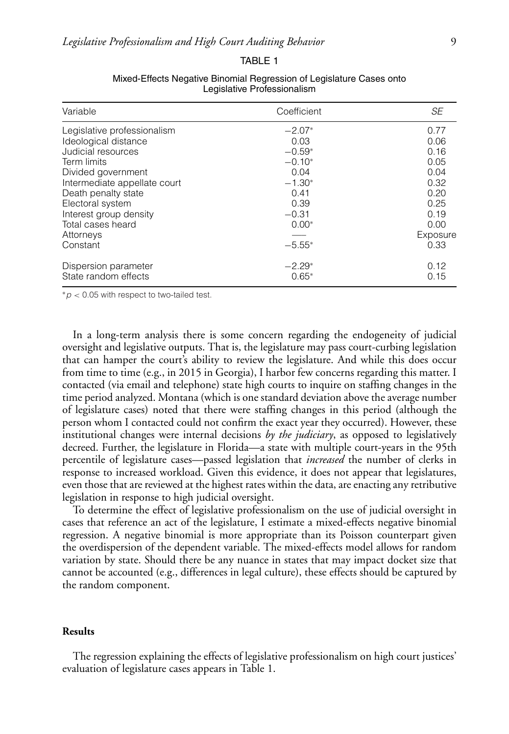#### TABLE 1

| Variable                     | Coefficient | <b>SE</b> |
|------------------------------|-------------|-----------|
| Legislative professionalism  | $-2.07*$    | 0.77      |
| Ideological distance         | 0.03        | 0.06      |
| Judicial resources           | $-0.59*$    | 0.16      |
| Term limits                  | $-0.10*$    | 0.05      |
| Divided government           | 0.04        | 0.04      |
| Intermediate appellate court | $-1.30*$    | 0.32      |
| Death penalty state          | 0.41        | 0.20      |
| Electoral system             | 0.39        | 0.25      |
| Interest group density       | $-0.31$     | 0.19      |
| Total cases heard            | $0.00*$     | 0.00      |
| Attorneys                    |             | Exposure  |
| Constant                     | $-5.55*$    | 0.33      |
| Dispersion parameter         | $-2.29*$    | 0.12      |
| State random effects         | $0.65*$     | 0.15      |

## Mixed-Effects Negative Binomial Regression of Legislature Cases onto Legislative Professionalism

∗*p <* 0.05 with respect to two-tailed test.

In a long-term analysis there is some concern regarding the endogeneity of judicial oversight and legislative outputs. That is, the legislature may pass court-curbing legislation that can hamper the court's ability to review the legislature. And while this does occur from time to time (e.g., in 2015 in Georgia), I harbor few concerns regarding this matter. I contacted (via email and telephone) state high courts to inquire on staffing changes in the time period analyzed. Montana (which is one standard deviation above the average number of legislature cases) noted that there were staffing changes in this period (although the person whom I contacted could not confirm the exact year they occurred). However, these institutional changes were internal decisions *by the judiciary*, as opposed to legislatively decreed. Further, the legislature in Florida—a state with multiple court-years in the 95th percentile of legislature cases—passed legislation that *increased* the number of clerks in response to increased workload. Given this evidence, it does not appear that legislatures, even those that are reviewed at the highest rates within the data, are enacting any retributive legislation in response to high judicial oversight.

To determine the effect of legislative professionalism on the use of judicial oversight in cases that reference an act of the legislature, I estimate a mixed-effects negative binomial regression. A negative binomial is more appropriate than its Poisson counterpart given the overdispersion of the dependent variable. The mixed-effects model allows for random variation by state. Should there be any nuance in states that may impact docket size that cannot be accounted (e.g., differences in legal culture), these effects should be captured by the random component.

## **Results**

The regression explaining the effects of legislative professionalism on high court justices' evaluation of legislature cases appears in Table 1.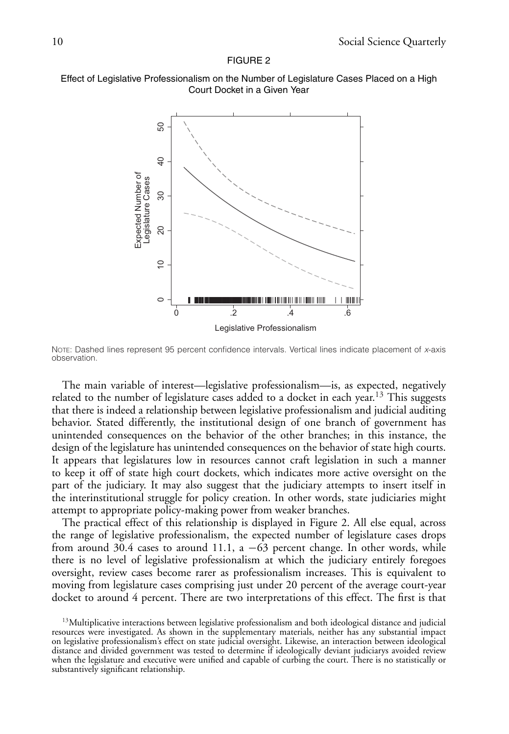## FIGURE 2





NOTE: Dashed lines represent 95 percent confidence intervals. Vertical lines indicate placement of *x*-axis observation.

The main variable of interest—legislative professionalism—is, as expected, negatively related to the number of legislature cases added to a docket in each year.<sup>13</sup> This suggests that there is indeed a relationship between legislative professionalism and judicial auditing behavior. Stated differently, the institutional design of one branch of government has unintended consequences on the behavior of the other branches; in this instance, the design of the legislature has unintended consequences on the behavior of state high courts. It appears that legislatures low in resources cannot craft legislation in such a manner to keep it off of state high court dockets, which indicates more active oversight on the part of the judiciary. It may also suggest that the judiciary attempts to insert itself in the interinstitutional struggle for policy creation. In other words, state judiciaries might attempt to appropriate policy-making power from weaker branches.

The practical effect of this relationship is displayed in Figure 2. All else equal, across the range of legislative professionalism, the expected number of legislature cases drops from around 30.4 cases to around 11.1, a  $-63$  percent change. In other words, while there is no level of legislative professionalism at which the judiciary entirely foregoes oversight, review cases become rarer as professionalism increases. This is equivalent to moving from legislature cases comprising just under 20 percent of the average court-year docket to around 4 percent. There are two interpretations of this effect. The first is that

<sup>&</sup>lt;sup>13</sup>Multiplicative interactions between legislative professionalism and both ideological distance and judicial resources were investigated. As shown in the supplementary materials, neither has any substantial impact on legislative professionalism's effect on state judicial oversight. Likewise, an interaction between ideological distance and divided government was tested to determine if ideologically deviant judiciarys avoided review when the legislature and executive were unified and capable of curbing the court. There is no statistically or substantively significant relationship.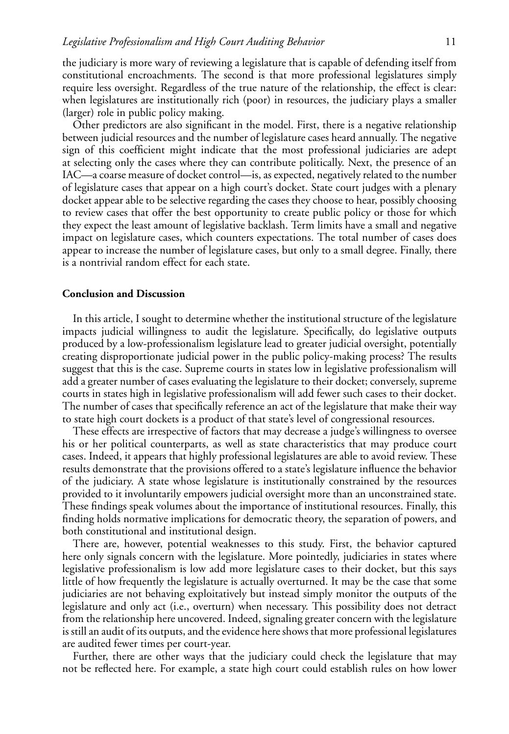the judiciary is more wary of reviewing a legislature that is capable of defending itself from constitutional encroachments. The second is that more professional legislatures simply require less oversight. Regardless of the true nature of the relationship, the effect is clear: when legislatures are institutionally rich (poor) in resources, the judiciary plays a smaller (larger) role in public policy making.

Other predictors are also significant in the model. First, there is a negative relationship between judicial resources and the number of legislature cases heard annually. The negative sign of this coefficient might indicate that the most professional judiciaries are adept at selecting only the cases where they can contribute politically. Next, the presence of an IAC—a coarse measure of docket control—is, as expected, negatively related to the number of legislature cases that appear on a high court's docket. State court judges with a plenary docket appear able to be selective regarding the cases they choose to hear, possibly choosing to review cases that offer the best opportunity to create public policy or those for which they expect the least amount of legislative backlash. Term limits have a small and negative impact on legislature cases, which counters expectations. The total number of cases does appear to increase the number of legislature cases, but only to a small degree. Finally, there is a nontrivial random effect for each state.

## **Conclusion and Discussion**

In this article, I sought to determine whether the institutional structure of the legislature impacts judicial willingness to audit the legislature. Specifically, do legislative outputs produced by a low-professionalism legislature lead to greater judicial oversight, potentially creating disproportionate judicial power in the public policy-making process? The results suggest that this is the case. Supreme courts in states low in legislative professionalism will add a greater number of cases evaluating the legislature to their docket; conversely, supreme courts in states high in legislative professionalism will add fewer such cases to their docket. The number of cases that specifically reference an act of the legislature that make their way to state high court dockets is a product of that state's level of congressional resources.

These effects are irrespective of factors that may decrease a judge's willingness to oversee his or her political counterparts, as well as state characteristics that may produce court cases. Indeed, it appears that highly professional legislatures are able to avoid review. These results demonstrate that the provisions offered to a state's legislature influence the behavior of the judiciary. A state whose legislature is institutionally constrained by the resources provided to it involuntarily empowers judicial oversight more than an unconstrained state. These findings speak volumes about the importance of institutional resources. Finally, this finding holds normative implications for democratic theory, the separation of powers, and both constitutional and institutional design.

There are, however, potential weaknesses to this study. First, the behavior captured here only signals concern with the legislature. More pointedly, judiciaries in states where legislative professionalism is low add more legislature cases to their docket, but this says little of how frequently the legislature is actually overturned. It may be the case that some judiciaries are not behaving exploitatively but instead simply monitor the outputs of the legislature and only act (i.e., overturn) when necessary. This possibility does not detract from the relationship here uncovered. Indeed, signaling greater concern with the legislature is still an audit of its outputs, and the evidence here shows that more professional legislatures are audited fewer times per court-year.

Further, there are other ways that the judiciary could check the legislature that may not be reflected here. For example, a state high court could establish rules on how lower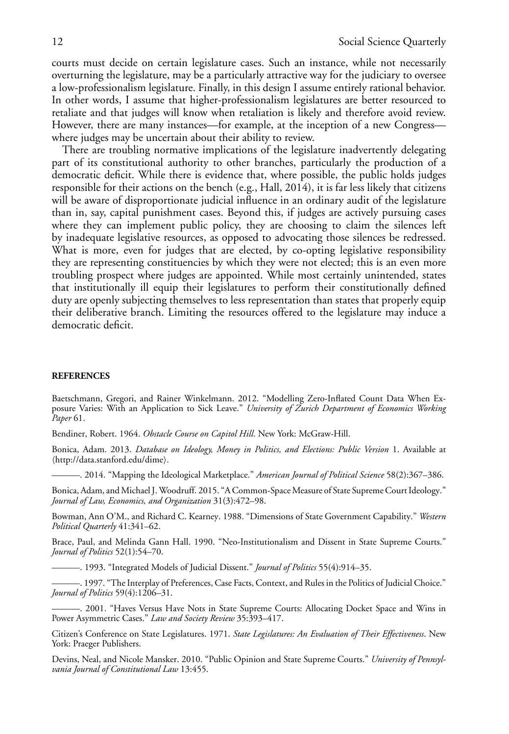courts must decide on certain legislature cases. Such an instance, while not necessarily overturning the legislature, may be a particularly attractive way for the judiciary to oversee a low-professionalism legislature. Finally, in this design I assume entirely rational behavior. In other words, I assume that higher-professionalism legislatures are better resourced to retaliate and that judges will know when retaliation is likely and therefore avoid review. However, there are many instances—for example, at the inception of a new Congress where judges may be uncertain about their ability to review.

There are troubling normative implications of the legislature inadvertently delegating part of its constitutional authority to other branches, particularly the production of a democratic deficit. While there is evidence that, where possible, the public holds judges responsible for their actions on the bench (e.g., Hall, 2014), it is far less likely that citizens will be aware of disproportionate judicial influence in an ordinary audit of the legislature than in, say, capital punishment cases. Beyond this, if judges are actively pursuing cases where they can implement public policy, they are choosing to claim the silences left by inadequate legislative resources, as opposed to advocating those silences be redressed. What is more, even for judges that are elected, by co-opting legislative responsibility they are representing constituencies by which they were not elected; this is an even more troubling prospect where judges are appointed. While most certainly unintended, states that institutionally ill equip their legislatures to perform their constitutionally defined duty are openly subjecting themselves to less representation than states that properly equip their deliberative branch. Limiting the resources offered to the legislature may induce a democratic deficit.

#### **REFERENCES**

Baetschmann, Gregori, and Rainer Winkelmann. 2012. "Modelling Zero-Inflated Count Data When Exposure Varies: With an Application to Sick Leave." *University of Zurich Department of Economics Working Paper* 61.

Bendiner, Robert. 1964. *Obstacle Course on Capitol Hill*. New York: McGraw-Hill.

Bonica, Adam. 2013. *Database on Ideology, Money in Politics, and Elections: Public Version* 1. Available at -http://data.stanford.edu/dime.

———. 2014. "Mapping the Ideological Marketplace." *American Journal of Political Science* 58(2):367–386.

Bonica, Adam, and Michael J.Woodruff. 2015. "A Common-Space Measure of State Supreme Court Ideology." *Journal of Law, Economics, and Organization* 31(3):472–98.

Bowman, Ann O'M., and Richard C. Kearney. 1988. "Dimensions of State Government Capability." *Western Political Quarterly* 41:341–62.

Brace, Paul, and Melinda Gann Hall. 1990. "Neo-Institutionalism and Dissent in State Supreme Courts." *Journal of Politics* 52(1):54–70.

———. 1993. "Integrated Models of Judicial Dissent." *Journal of Politics* 55(4):914–35.

———. 1997. "The Interplay of Preferences, Case Facts, Context, and Rules in the Politics of Judicial Choice." *Journal of Politics* 59(4):1206–31.

–. 2001. "Haves Versus Have Nots in State Supreme Courts: Allocating Docket Space and Wins in Power Asymmetric Cases." *Law and Society Review* 35:393–417.

Citizen's Conference on State Legislatures. 1971. *State Legislatures: An Evaluation of Their Effectiveness*. New York: Praeger Publishers.

Devins, Neal, and Nicole Mansker. 2010. "Public Opinion and State Supreme Courts." *University of Pennsylvania Journal of Constitutional Law* 13:455.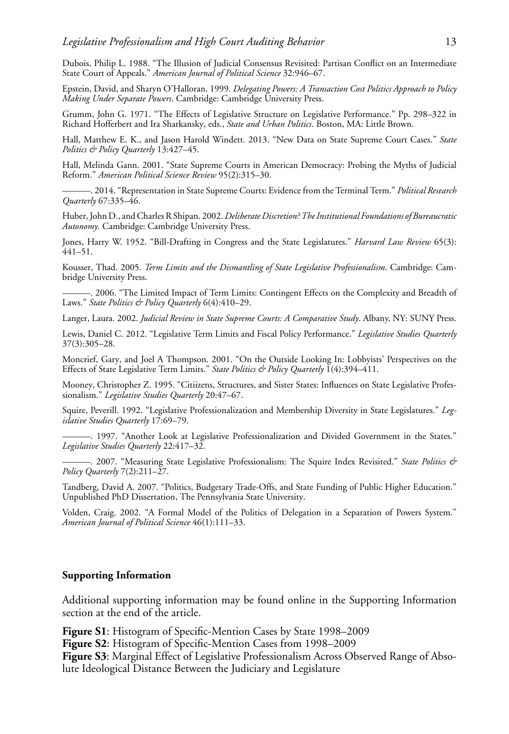Dubois, Philip L. 1988. "The Illusion of Judicial Consensus Revisited: Partisan Conflict on an Intermediate State Court of Appeals." *American Journal of Political Science* 32:946–67.

Epstein, David, and Sharyn O'Halloran. 1999. *Delegating Powers: A Transaction Cost Politics Approach to Policy Making Under Separate Powers*. Cambridge: Cambridge University Press.

Grumm, John G. 1971. "The Effects of Legislative Structure on Legislative Performance." Pp. 298–322 in Richard Hofferbert and Ira Sharkansky, eds., *State and Urban Politics*. Boston, MA: Little Brown.

Hall, Matthew E. K., and Jason Harold Windett. 2013. "New Data on State Supreme Court Cases." *State Politics & Policy Quarterly* 13:427–45.

Hall, Melinda Gann. 2001. "State Supreme Courts in American Democracy: Probing the Myths of Judicial Reform." *American Political Science Review* 95(2):315–30.

———. 2014. "Representation in State Supreme Courts: Evidence from the Terminal Term." *Political Research Quarterly* 67:335–46.

Huber, John D., and Charles R Shipan. 2002. *Deliberate Discretion? The Institutional Foundations of Bureaucratic Autonomy*. Cambridge: Cambridge University Press.

Jones, Harry W. 1952. "Bill-Drafting in Congress and the State Legislatures." *Harvard Law Review* 65(3): 441–51.

Kousser, Thad. 2005. *Term Limits and the Dismantling of State Legislative Professionalism*. Cambridge: Cambridge University Press.

———. 2006. "The Limited Impact of Term Limits: Contingent Effects on the Complexity and Breadth of Laws." *State Politics & Policy Quarterly* 6(4):410–29.

Langer, Laura. 2002. *Judicial Review in State Supreme Courts: A Comparative Study*. Albany, NY: SUNY Press.

Lewis, Daniel C. 2012. "Legislative Term Limits and Fiscal Policy Performance." *Legislative Studies Quarterly* 37(3):305–28.

Moncrief, Gary, and Joel A Thompson. 2001. "On the Outside Looking In: Lobbyists' Perspectives on the Effects of State Legislative Term Limits." *State Politics & Policy Quarterly* 1(4):394–411.

Mooney, Christopher Z. 1995. "Citiizens, Structures, and Sister States: Influences on State Legislative Professionalism." *Legislative Studies Quarterly* 20:47–67.

Squire, Peverill. 1992. "Legislative Professionalization and Membership Diversity in State Legislatures." *Legislative Studies Quarterly* 17:69–79.

———. 1997. "Another Look at Legislative Professionalization and Divided Government in the States." *Legislative Studies Quarterly* 22:417–32.

———. 2007. "Measuring State Legislative Professionalism: The Squire Index Revisited." *State Politics & Policy Quarterly* 7(2):211–27.

Tandberg, David A. 2007. "Politics, Budgetary Trade-Offs, and State Funding of Public Higher Education." Unpublished PhD Dissertation, The Pennsylvania State University.

Volden, Craig. 2002. "A Formal Model of the Politics of Delegation in a Separation of Powers System." *American Journal of Political Science* 46(1):111–33.

## **Supporting Information**

Additional supporting information may be found online in the Supporting Information section at the end of the article.

**Figure S1**: Histogram of Specific-Mention Cases by State 1998–2009

**Figure S2**: Histogram of Specific-Mention Cases from 1998–2009

**Figure S3**: Marginal Effect of Legislative Professionalism Across Observed Range of Absolute Ideological Distance Between the Judiciary and Legislature